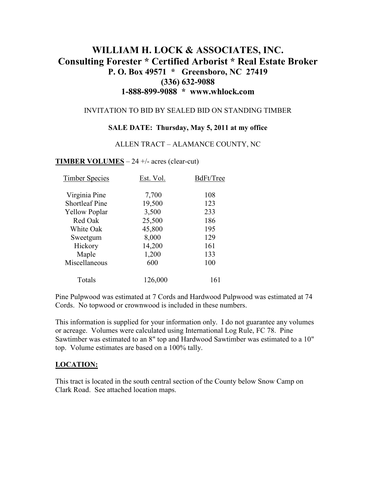# **WILLIAM H. LOCK & ASSOCIATES, INC. Consulting Forester \* Certified Arborist \* Real Estate Broker P. O. Box 49571 \* Greensboro, NC 27419 (336) 632-9088 1-888-899-9088 \* www.whlock.com**

### INVITATION TO BID BY SEALED BID ON STANDING TIMBER

#### **SALE DATE: Thursday, May 5, 2011 at my office**

#### ALLEN TRACT – ALAMANCE COUNTY, NC

#### **TIMBER VOLUMES** – 24 +/- acres (clear-cut)

| <b>Timber Species</b> | Est. Vol. | BdFt/Tree |
|-----------------------|-----------|-----------|
| Virginia Pine         | 7,700     | 108       |
| <b>Shortleaf Pine</b> | 19,500    | 123       |
| <b>Yellow Poplar</b>  | 3,500     | 233       |
| Red Oak               | 25,500    | 186       |
| White Oak             | 45,800    | 195       |
| Sweetgum              | 8,000     | 129       |
| Hickory               | 14,200    | 161       |
| Maple                 | 1,200     | 133       |
| Miscellaneous         | 600       | 100       |
| Totals                | 126,000   | 161       |

Pine Pulpwood was estimated at 7 Cords and Hardwood Pulpwood was estimated at 74 Cords. No topwood or crownwood is included in these numbers.

This information is supplied for your information only. I do not guarantee any volumes or acreage. Volumes were calculated using International Log Rule, FC 78. Pine Sawtimber was estimated to an 8" top and Hardwood Sawtimber was estimated to a 10" top. Volume estimates are based on a 100% tally.

#### **LOCATION:**

This tract is located in the south central section of the County below Snow Camp on Clark Road. See attached location maps.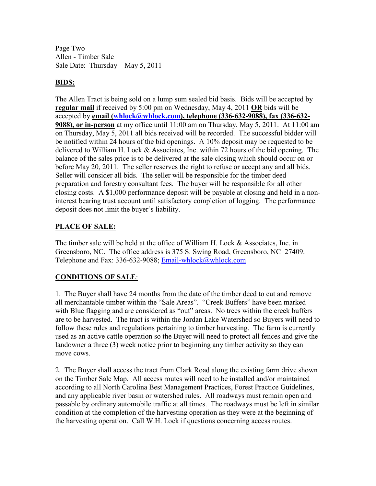Page Two Allen - Timber Sale Sale Date: Thursday – May 5, 2011

## **BIDS:**

The Allen Tract is being sold on a lump sum sealed bid basis. Bids will be accepted by **regular mail** if received by 5:00 pm on Wednesday, May 4, 2011 **OR** bids will be accepted by **email (whlock@whlock.com), telephone (336-632-9088), fax (336-632- 9088), or in-person** at my office until 11:00 am on Thursday, May 5, 2011. At 11:00 am on Thursday, May 5, 2011 all bids received will be recorded. The successful bidder will be notified within 24 hours of the bid openings. A 10% deposit may be requested to be delivered to William H. Lock & Associates, Inc. within 72 hours of the bid opening. The balance of the sales price is to be delivered at the sale closing which should occur on or before May 20, 2011. The seller reserves the right to refuse or accept any and all bids. Seller will consider all bids. The seller will be responsible for the timber deed preparation and forestry consultant fees. The buyer will be responsible for all other closing costs. A \$1,000 performance deposit will be payable at closing and held in a noninterest bearing trust account until satisfactory completion of logging. The performance deposit does not limit the buyer's liability.

## **PLACE OF SALE:**

The timber sale will be held at the office of William H. Lock & Associates, Inc. in Greensboro, NC. The office address is 375 S. Swing Road, Greensboro, NC 27409. Telephone and Fax: 336-632-9088; Email-whlock@whlock.com

## **CONDITIONS OF SALE**:

1. The Buyer shall have 24 months from the date of the timber deed to cut and remove all merchantable timber within the "Sale Areas". "Creek Buffers" have been marked with Blue flagging and are considered as "out" areas. No trees within the creek buffers are to be harvested. The tract is within the Jordan Lake Watershed so Buyers will need to follow these rules and regulations pertaining to timber harvesting. The farm is currently used as an active cattle operation so the Buyer will need to protect all fences and give the landowner a three (3) week notice prior to beginning any timber activity so they can move cows.

2. The Buyer shall access the tract from Clark Road along the existing farm drive shown on the Timber Sale Map. All access routes will need to be installed and/or maintained according to all North Carolina Best Management Practices, Forest Practice Guidelines, and any applicable river basin or watershed rules. All roadways must remain open and passable by ordinary automobile traffic at all times. The roadways must be left in similar condition at the completion of the harvesting operation as they were at the beginning of the harvesting operation. Call W.H. Lock if questions concerning access routes.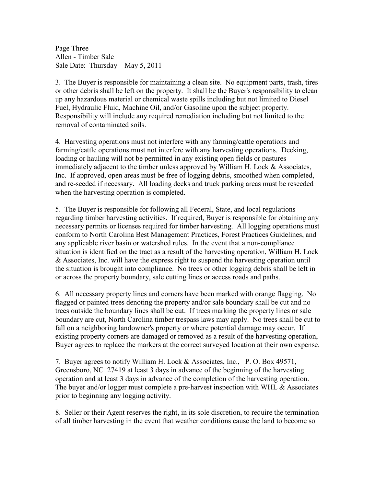Page Three Allen - Timber Sale Sale Date: Thursday – May 5, 2011

3. The Buyer is responsible for maintaining a clean site. No equipment parts, trash, tires or other debris shall be left on the property. It shall be the Buyer's responsibility to clean up any hazardous material or chemical waste spills including but not limited to Diesel Fuel, Hydraulic Fluid, Machine Oil, and/or Gasoline upon the subject property. Responsibility will include any required remediation including but not limited to the removal of contaminated soils.

4. Harvesting operations must not interfere with any farming/cattle operations and farming/cattle operations must not interfere with any harvesting operations. Decking, loading or hauling will not be permitted in any existing open fields or pastures immediately adjacent to the timber unless approved by William H. Lock & Associates, Inc. If approved, open areas must be free of logging debris, smoothed when completed, and re-seeded if necessary. All loading decks and truck parking areas must be reseeded when the harvesting operation is completed.

5. The Buyer is responsible for following all Federal, State, and local regulations regarding timber harvesting activities. If required, Buyer is responsible for obtaining any necessary permits or licenses required for timber harvesting. All logging operations must conform to North Carolina Best Management Practices, Forest Practices Guidelines, and any applicable river basin or watershed rules. In the event that a non-compliance situation is identified on the tract as a result of the harvesting operation, William H. Lock & Associates, Inc. will have the express right to suspend the harvesting operation until the situation is brought into compliance. No trees or other logging debris shall be left in or across the property boundary, sale cutting lines or access roads and paths.

6. All necessary property lines and corners have been marked with orange flagging. No flagged or painted trees denoting the property and/or sale boundary shall be cut and no trees outside the boundary lines shall be cut. If trees marking the property lines or sale boundary are cut, North Carolina timber trespass laws may apply. No trees shall be cut to fall on a neighboring landowner's property or where potential damage may occur. If existing property corners are damaged or removed as a result of the harvesting operation, Buyer agrees to replace the markers at the correct surveyed location at their own expense.

7. Buyer agrees to notify William H. Lock & Associates, Inc., P. O. Box 49571, Greensboro, NC 27419 at least 3 days in advance of the beginning of the harvesting operation and at least 3 days in advance of the completion of the harvesting operation. The buyer and/or logger must complete a pre-harvest inspection with WHL & Associates prior to beginning any logging activity.

8. Seller or their Agent reserves the right, in its sole discretion, to require the termination of all timber harvesting in the event that weather conditions cause the land to become so